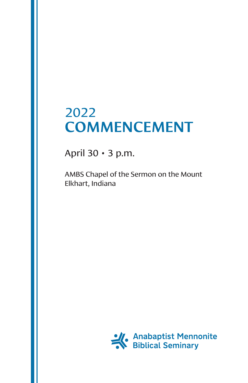# 2022 COMMENCEMENT

April 30 • 3 p.m.

AMBS Chapel of the Sermon on the Mount Elkhart, Indiana

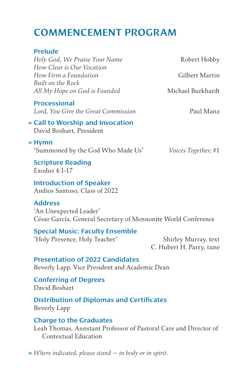## COMMENCEMENT PROGRAM

| <b>Prelude</b>                                                  |                             |
|-----------------------------------------------------------------|-----------------------------|
| Holy God, We Praise Your Name                                   | Robert Hobby                |
| How Clear is Our Vocation                                       |                             |
| How Firm a Foundation                                           | Gilbert Martin              |
| Built on the Rock                                               |                             |
| All My Hope on God is Founded                                   | Michael Burkhardt           |
| <b>Processional</b>                                             |                             |
| Lord, You Give the Great Commission                             | Paul Manz                   |
| » Call to Worship and Invocation<br>David Boshart, President    |                             |
| » Hymn                                                          |                             |
| "Summoned by the God Who Made Us"                               | <i>Voices Together</i> , #1 |
| <b>Scripture Reading</b><br>Exodus 4:1-17                       |                             |
| <b>Introduction of Speaker</b><br>Andios Santoso, Class of 2022 |                             |
| <b>Address</b>                                                  |                             |

"An Unexpected Leader" César García, General Secretary of Mennonite World Conference

Special Music: Faculty Ensemble "Holy Presence, Holy Teacher" Shirley Murray, text C. Hubert H. Parry, tune

Presentation of 2022 Candidates Beverly Lapp, Vice President and Academic Dean

Conferring of Degrees David Boshart

Distribution of Diplomas and Certificates Beverly Lapp

#### Charge to the Graduates

Leah Thomas, Assistant Professor of Pastoral Care and Director of Contextual Education

» *Where indicated, please stand — in body or in spirit.*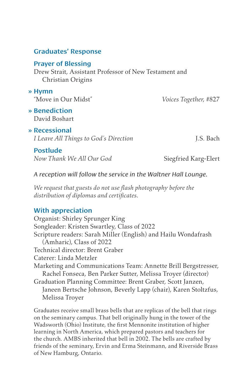### Prayer of Blessing Drew Strait, Assistant Professor of New Testament and Christian Origins » Hymn "Move in Our Midst" *Voices Together,* #827 » Benediction David Boshart » Recessional *I Leave All Things to God's Direction* J.S. Bach Postlude *Now Thank We All Our God* Siegfried Karg-Elert

*A reception will follow the service in the Waltner Hall Lounge.*

*We request that guests do not use flash photography before the distribution of diplomas and certificates.*

### With appreciation

Organist: Shirley Sprunger King Songleader: Kristen Swartley, Class of 2022 Scripture readers: Sarah Miller (English) and Hailu Wondafrash (Amharic), Class of 2022 Technical director: Brent Graber Caterer: Linda Metzler Marketing and Communications Team: Annette Brill Bergstresser, Rachel Fonseca, Ben Parker Sutter, Melissa Troyer (director) Graduation Planning Committee: Brent Graber, Scott Janzen, Janeen Bertsche Johnson, Beverly Lapp (chair), Karen Stoltzfus, Melissa Troyer

Graduates receive small brass bells that are replicas of the bell that rings on the seminary campus. That bell originally hung in the tower of the Wadsworth (Ohio) Institute, the first Mennonite institution of higher learning in North America, which prepared pastors and teachers for the church. AMBS inherited that bell in 2002. The bells are crafted by friends of the seminary, Ervin and Erma Steinmann, and Riverside Brass of New Hamburg, Ontario.

### Graduates' Response